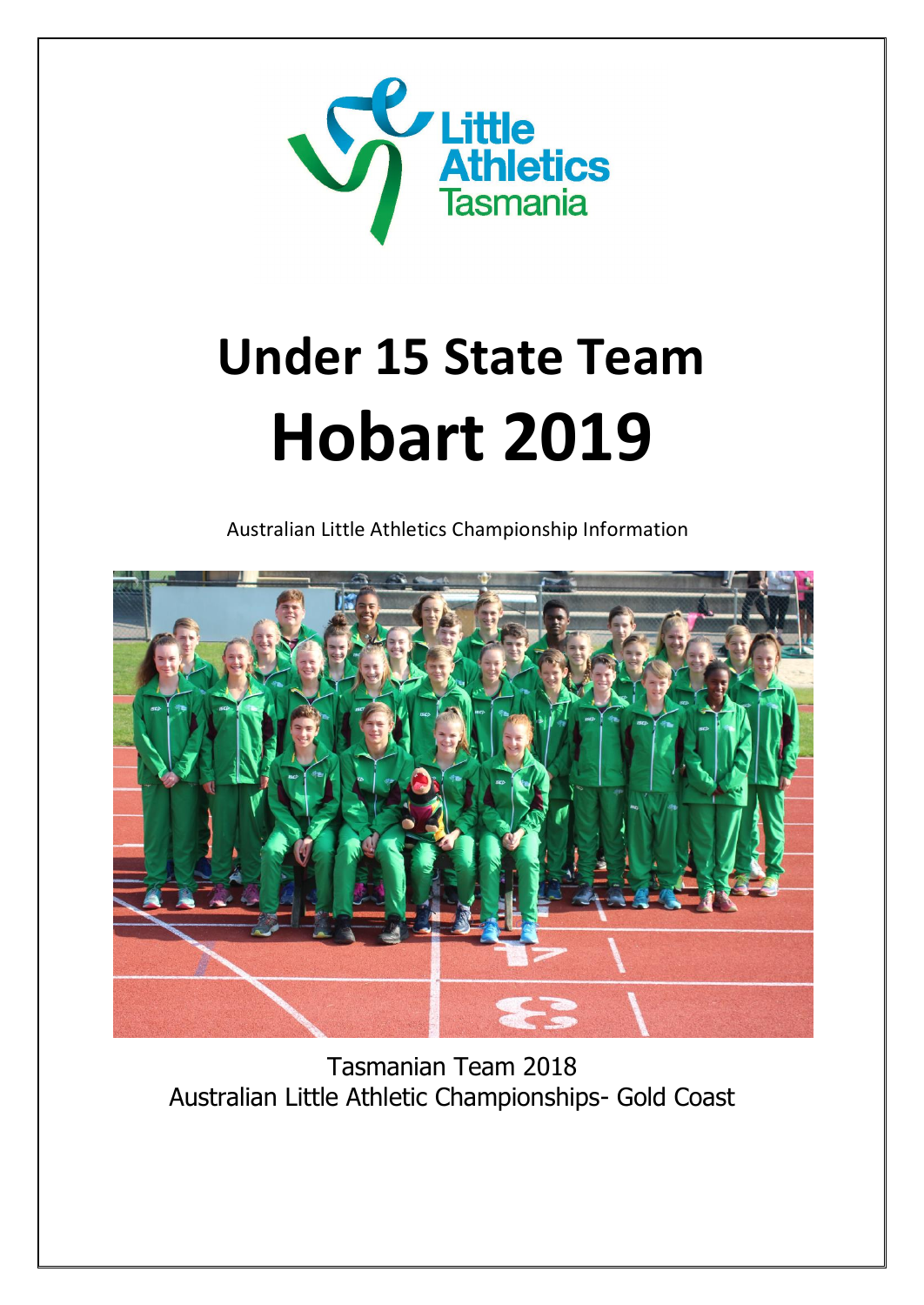

# **Under 15 State Team Hobart 2019**

Australian Little Athletics Championship Information



Tasmanian Team 2018 Australian Little Athletic Championships- Gold Coast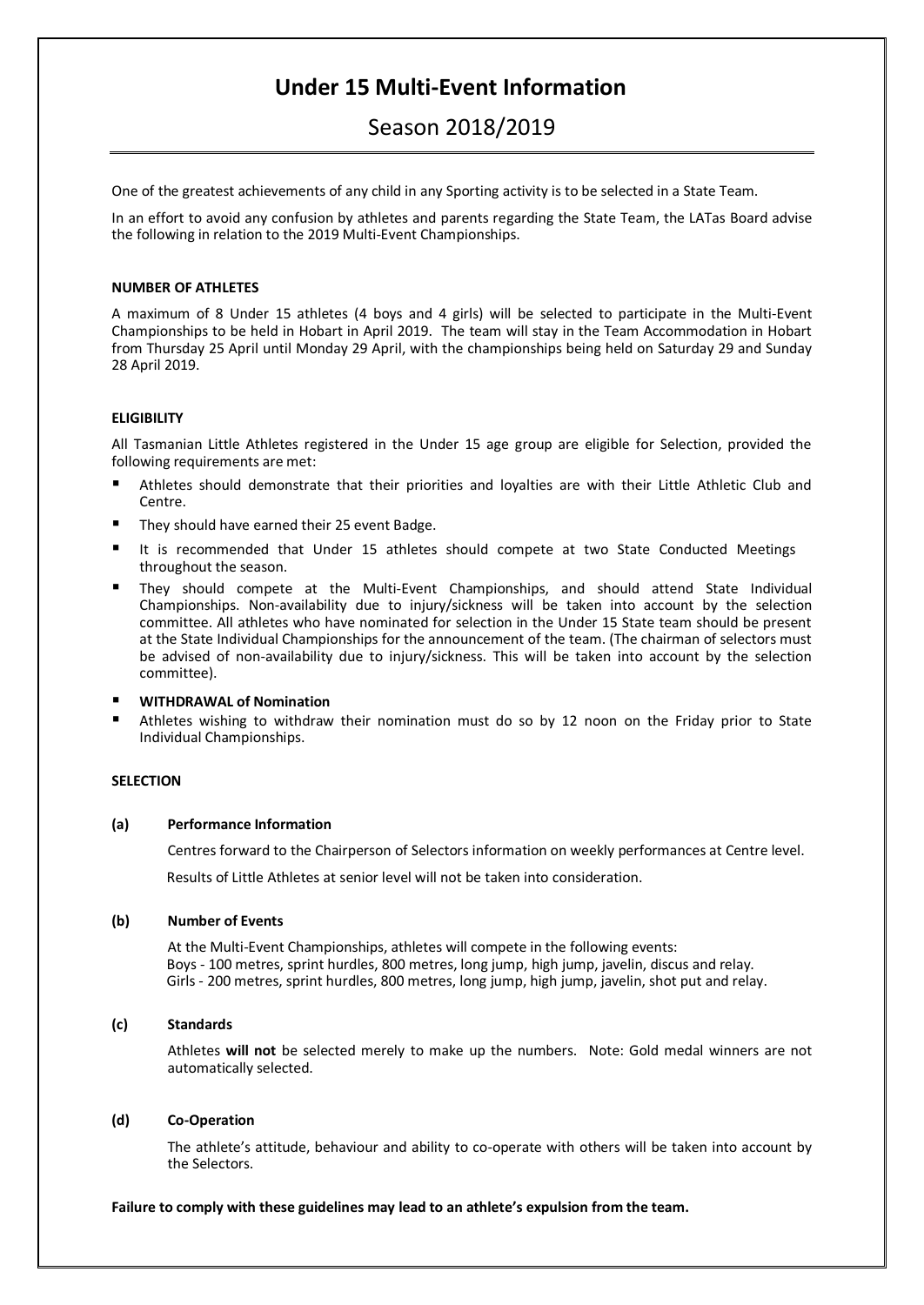# **Under 15 Multi-Event Information**

# Season 2018/2019

One of the greatest achievements of any child in any Sporting activity is to be selected in a State Team.

In an effort to avoid any confusion by athletes and parents regarding the State Team, the LATas Board advise the following in relation to the 2019 Multi-Event Championships.

# **NUMBER OF ATHLETES**

A maximum of 8 Under 15 athletes (4 boys and 4 girls) will be selected to participate in the Multi-Event Championships to be held in Hobart in April 2019. The team will stay in the Team Accommodation in Hobart from Thursday 25 April until Monday 29 April, with the championships being held on Saturday 29 and Sunday 28 April 2019.

# **ELIGIBILITY**

All Tasmanian Little Athletes registered in the Under 15 age group are eligible for Selection, provided the following requirements are met:

- Athletes should demonstrate that their priorities and loyalties are with their Little Athletic Club and Centre.
- They should have earned their 25 event Badge.
- It is recommended that Under 15 athletes should compete at two State Conducted Meetings throughout the season.
- They should compete at the Multi-Event Championships, and should attend State Individual Championships. Non-availability due to injury/sickness will be taken into account by the selection committee. All athletes who have nominated for selection in the Under 15 State team should be present at the State Individual Championships for the announcement of the team. (The chairman of selectors must be advised of non-availability due to injury/sickness. This will be taken into account by the selection committee).
- **WITHDRAWAL of Nomination**
- Athletes wishing to withdraw their nomination must do so by 12 noon on the Friday prior to State Individual Championships.

# **SELECTION**

#### **(a) Performance Information**

Centres forward to the Chairperson of Selectors information on weekly performances at Centre level.

Results of Little Athletes at senior level will not be taken into consideration.

#### **(b) Number of Events**

At the Multi-Event Championships, athletes will compete in the following events: Boys - 100 metres, sprint hurdles, 800 metres, long jump, high jump, javelin, discus and relay. Girls - 200 metres, sprint hurdles, 800 metres, long jump, high jump, javelin, shot put and relay.

# **(c) Standards**

Athletes **will not** be selected merely to make up the numbers. Note: Gold medal winners are not automatically selected.

#### **(d) Co-Operation**

The athlete's attitude, behaviour and ability to co-operate with others will be taken into account by the Selectors.

#### **Failure to comply with these guidelines may lead to an athlete's expulsion from the team.**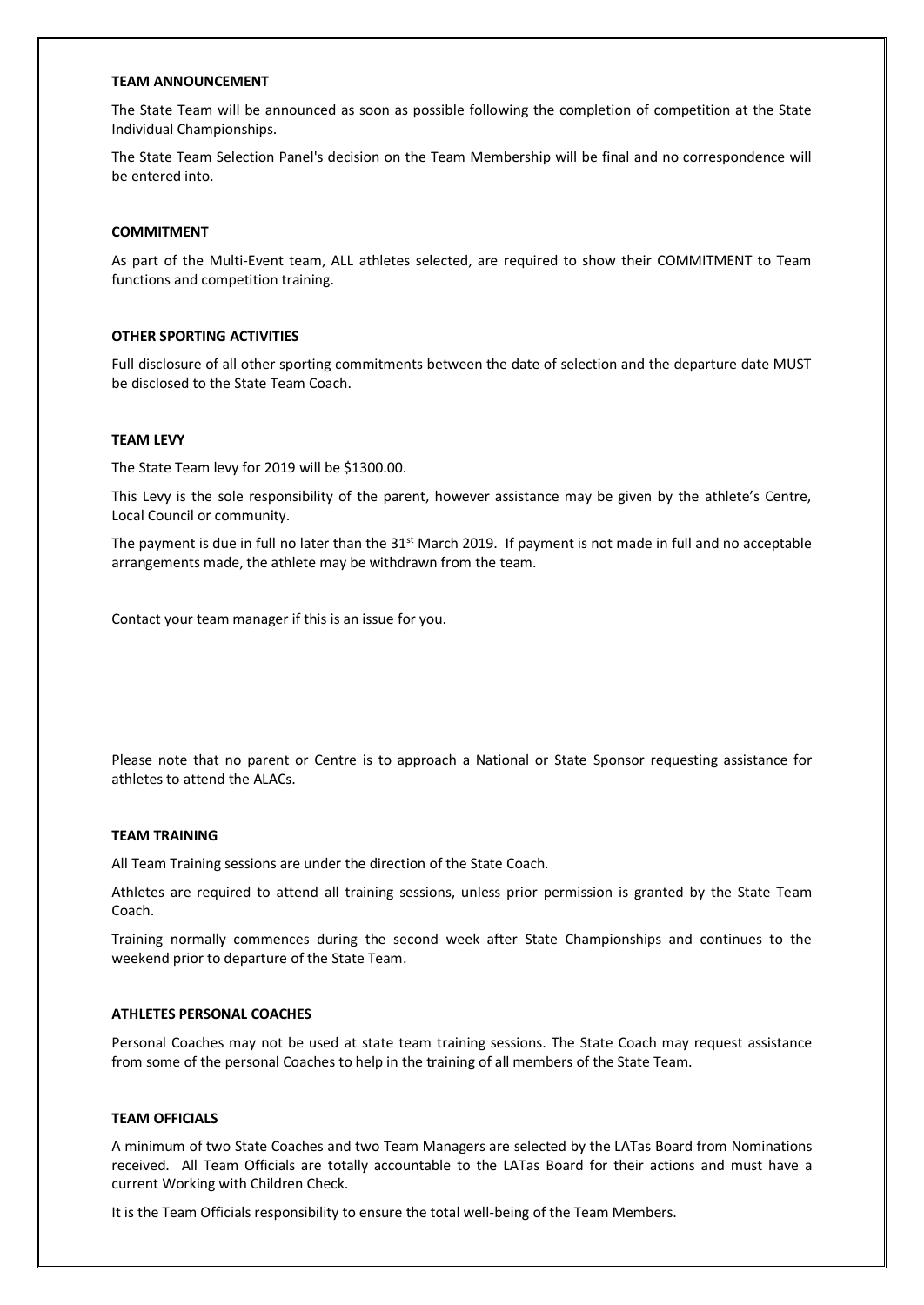#### **TEAM ANNOUNCEMENT**

The State Team will be announced as soon as possible following the completion of competition at the State Individual Championships.

The State Team Selection Panel's decision on the Team Membership will be final and no correspondence will be entered into.

#### **COMMITMENT**

As part of the Multi-Event team, ALL athletes selected, are required to show their COMMITMENT to Team functions and competition training.

### **OTHER SPORTING ACTIVITIES**

Full disclosure of all other sporting commitments between the date of selection and the departure date MUST be disclosed to the State Team Coach.

#### **TEAM LEVY**

The State Team levy for 2019 will be \$1300.00.

This Levy is the sole responsibility of the parent, however assistance may be given by the athlete's Centre, Local Council or community.

The payment is due in full no later than the  $31<sup>st</sup>$  March 2019. If payment is not made in full and no acceptable arrangements made, the athlete may be withdrawn from the team.

Contact your team manager if this is an issue for you.

Please note that no parent or Centre is to approach a National or State Sponsor requesting assistance for athletes to attend the ALACs.

#### **TEAM TRAINING**

All Team Training sessions are under the direction of the State Coach.

Athletes are required to attend all training sessions, unless prior permission is granted by the State Team Coach.

Training normally commences during the second week after State Championships and continues to the weekend prior to departure of the State Team.

# **ATHLETES PERSONAL COACHES**

Personal Coaches may not be used at state team training sessions. The State Coach may request assistance from some of the personal Coaches to help in the training of all members of the State Team.

#### **TEAM OFFICIALS**

A minimum of two State Coaches and two Team Managers are selected by the LATas Board from Nominations received. All Team Officials are totally accountable to the LATas Board for their actions and must have a current Working with Children Check.

It is the Team Officials responsibility to ensure the total well-being of the Team Members.